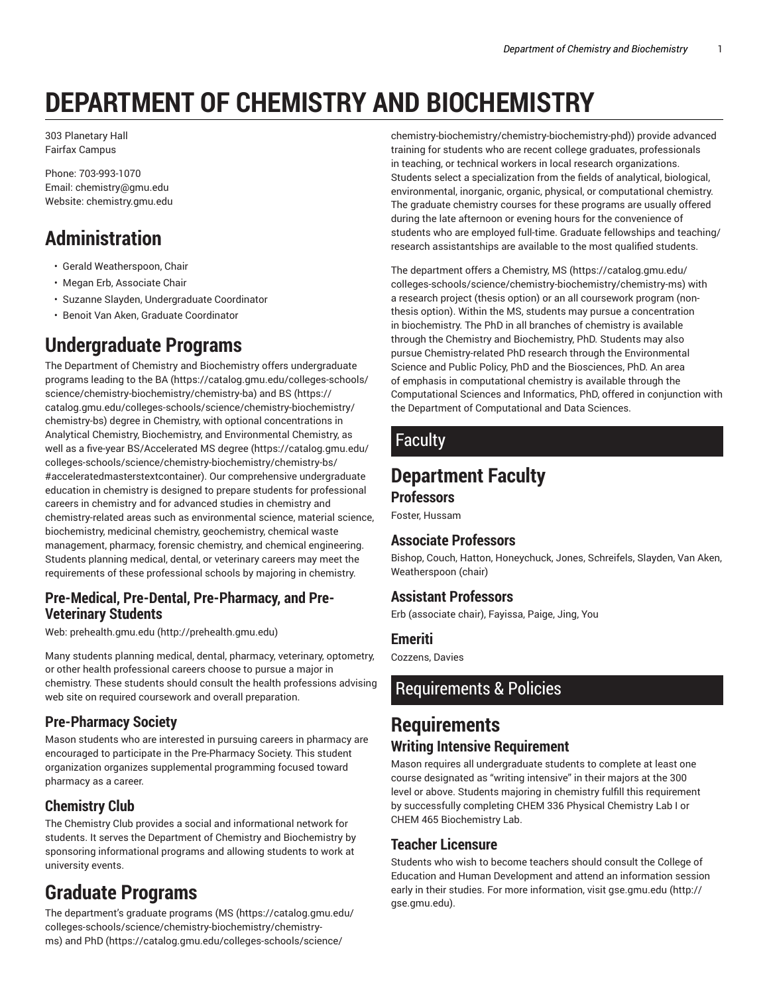# **DEPARTMENT OF CHEMISTRY AND BIOCHEMISTRY**

303 Planetary Hall Fairfax Campus

Phone: 703-993-1070 Email: chemistry@gmu.edu Website: chemistry.gmu.edu

# **Administration**

- Gerald Weatherspoon, Chair
- Megan Erb, Associate Chair
- Suzanne Slayden, Undergraduate Coordinator
- Benoit Van Aken, Graduate Coordinator

# **Undergraduate Programs**

The Department of Chemistry and Biochemistry offers undergraduate programs leading to the BA (https://catalog.gmu.edu/colleges-schools/ science/chemistry-biochemistry/chemistry-ba) and BS (https:// catalog.gmu.edu/colleges-schools/science/chemistry-biochemistry/ chemistry-bs) degree in Chemistry, with optional concentrations in Analytical Chemistry, Biochemistry, and Environmental Chemistry, as well as a five-year BS/Accelerated MS degree (https://catalog.gmu.edu/ colleges-schools/science/chemistry-biochemistry/chemistry-bs/ #acceleratedmasterstextcontainer). Our comprehensive undergraduate education in chemistry is designed to prepare students for professional careers in chemistry and for advanced studies in chemistry and chemistry-related areas such as environmental science, material science, biochemistry, medicinal chemistry, geochemistry, chemical waste management, pharmacy, forensic chemistry, and chemical engineering. Students planning medical, dental, or veterinary careers may meet the requirements of these professional schools by majoring in chemistry.

### **Pre-Medical, Pre-Dental, Pre-Pharmacy, and Pre-Veterinary Students**

Web: prehealth.gmu.edu (http://prehealth.gmu.edu)

Many students planning medical, dental, pharmacy, veterinary, optometry, or other health professional careers choose to pursue a major in chemistry. These students should consult the health professions advising web site on required coursework and overall preparation.

### **Pre-Pharmacy Society**

Mason students who are interested in pursuing careers in pharmacy are encouraged to participate in the Pre-Pharmacy Society. This student organization organizes supplemental programming focused toward pharmacy as a career.

### **Chemistry Club**

The Chemistry Club provides a social and informational network for students. It serves the Department of Chemistry and Biochemistry by sponsoring informational programs and allowing students to work at university events.

## **Graduate Programs**

The department's graduate programs (MS (https://catalog.gmu.edu/ colleges-schools/science/chemistry-biochemistry/chemistryms) and PhD (https://catalog.gmu.edu/colleges-schools/science/

chemistry-biochemistry/chemistry-biochemistry-phd)) provide advanced training for students who are recent college graduates, professionals in teaching, or technical workers in local research organizations. Students select a specialization from the fields of analytical, biological, environmental, inorganic, organic, physical, or computational chemistry. The graduate chemistry courses for these programs are usually offered during the late afternoon or evening hours for the convenience of students who are employed full-time. Graduate fellowships and teaching/ research assistantships are available to the most qualified students.

The department offers a Chemistry, MS (https://catalog.gmu.edu/ colleges-schools/science/chemistry-biochemistry/chemistry-ms) with a research project (thesis option) or an all coursework program (nonthesis option). Within the MS, students may pursue a concentration in biochemistry. The PhD in all branches of chemistry is available through the Chemistry and Biochemistry, PhD. Students may also pursue Chemistry-related PhD research through the Environmental Science and Public Policy, PhD and the Biosciences, PhD. An area of emphasis in computational chemistry is available through the Computational Sciences and Informatics, PhD, offered in conjunction with the Department of Computational and Data Sciences.

### Faculty

### **Department Faculty Professors**

Foster, Hussam

#### **Associate Professors**

Bishop, Couch, Hatton, Honeychuck, Jones, Schreifels, Slayden, Van Aken, Weatherspoon (chair)

### **Assistant Professors**

Erb (associate chair), Fayissa, Paige, Jing, You

#### **Emeriti**

Cozzens, Davies

### Requirements & Policies

### **Requirements Writing Intensive Requirement**

Mason requires all undergraduate students to complete at least one course designated as "writing intensive" in their majors at the 300 level or above. Students majoring in chemistry fulfill this requirement by successfully completing CHEM 336 Physical Chemistry Lab I or CHEM 465 Biochemistry Lab.

### **Teacher Licensure**

Students who wish to become teachers should consult the College of Education and Human Development and attend an information session early in their studies. For more information, visit gse.gmu.edu (http:// gse.gmu.edu).